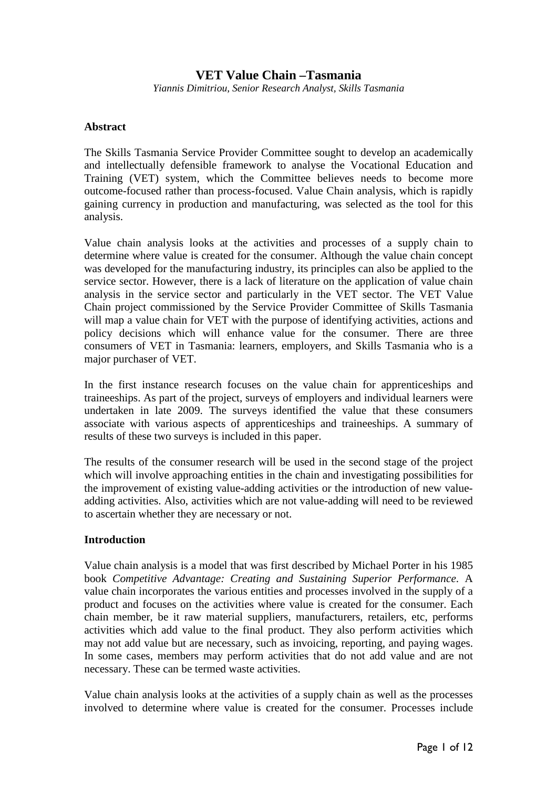# **VET Value Chain –Tasmania**

*Yiannis Dimitriou, Senior Research Analyst, Skills Tasmania* 

### **Abstract**

The Skills Tasmania Service Provider Committee sought to develop an academically and intellectually defensible framework to analyse the Vocational Education and Training (VET) system, which the Committee believes needs to become more outcome-focused rather than process-focused. Value Chain analysis, which is rapidly gaining currency in production and manufacturing, was selected as the tool for this analysis.

Value chain analysis looks at the activities and processes of a supply chain to determine where value is created for the consumer. Although the value chain concept was developed for the manufacturing industry, its principles can also be applied to the service sector. However, there is a lack of literature on the application of value chain analysis in the service sector and particularly in the VET sector. The VET Value Chain project commissioned by the Service Provider Committee of Skills Tasmania will map a value chain for VET with the purpose of identifying activities, actions and policy decisions which will enhance value for the consumer. There are three consumers of VET in Tasmania: learners, employers, and Skills Tasmania who is a major purchaser of VET.

In the first instance research focuses on the value chain for apprenticeships and traineeships. As part of the project, surveys of employers and individual learners were undertaken in late 2009. The surveys identified the value that these consumers associate with various aspects of apprenticeships and traineeships. A summary of results of these two surveys is included in this paper.

The results of the consumer research will be used in the second stage of the project which will involve approaching entities in the chain and investigating possibilities for the improvement of existing value-adding activities or the introduction of new valueadding activities. Also, activities which are not value-adding will need to be reviewed to ascertain whether they are necessary or not.

### **Introduction**

Value chain analysis is a model that was first described by Michael Porter in his 1985 book *Competitive Advantage: Creating and Sustaining Superior Performance*. A value chain incorporates the various entities and processes involved in the supply of a product and focuses on the activities where value is created for the consumer. Each chain member, be it raw material suppliers, manufacturers, retailers, etc, performs activities which add value to the final product. They also perform activities which may not add value but are necessary, such as invoicing, reporting, and paying wages. In some cases, members may perform activities that do not add value and are not necessary. These can be termed waste activities.

Value chain analysis looks at the activities of a supply chain as well as the processes involved to determine where value is created for the consumer. Processes include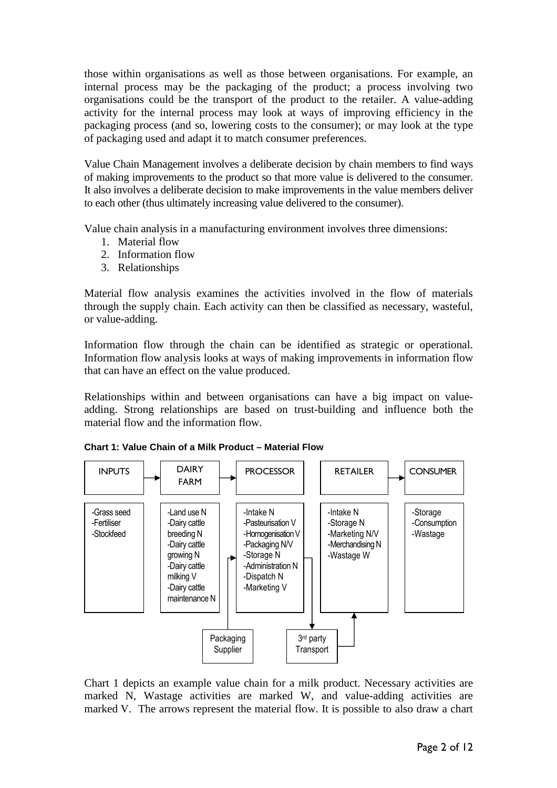those within organisations as well as those between organisations. For example, an internal process may be the packaging of the product; a process involving two organisations could be the transport of the product to the retailer. A value-adding activity for the internal process may look at ways of improving efficiency in the packaging process (and so, lowering costs to the consumer); or may look at the type of packaging used and adapt it to match consumer preferences.

Value Chain Management involves a deliberate decision by chain members to find ways of making improvements to the product so that more value is delivered to the consumer. It also involves a deliberate decision to make improvements in the value members deliver to each other (thus ultimately increasing value delivered to the consumer).

Value chain analysis in a manufacturing environment involves three dimensions:

- 1. Material flow
- 2. Information flow
- 3. Relationships

Material flow analysis examines the activities involved in the flow of materials through the supply chain. Each activity can then be classified as necessary, wasteful, or value-adding.

Information flow through the chain can be identified as strategic or operational. Information flow analysis looks at ways of making improvements in information flow that can have an effect on the value produced.

Relationships within and between organisations can have a big impact on valueadding. Strong relationships are based on trust-building and influence both the material flow and the information flow.



**Chart 1: Value Chain of a Milk Product – Material Flow** 

Chart 1 depicts an example value chain for a milk product. Necessary activities are marked N, Wastage activities are marked W, and value-adding activities are marked V. The arrows represent the material flow. It is possible to also draw a chart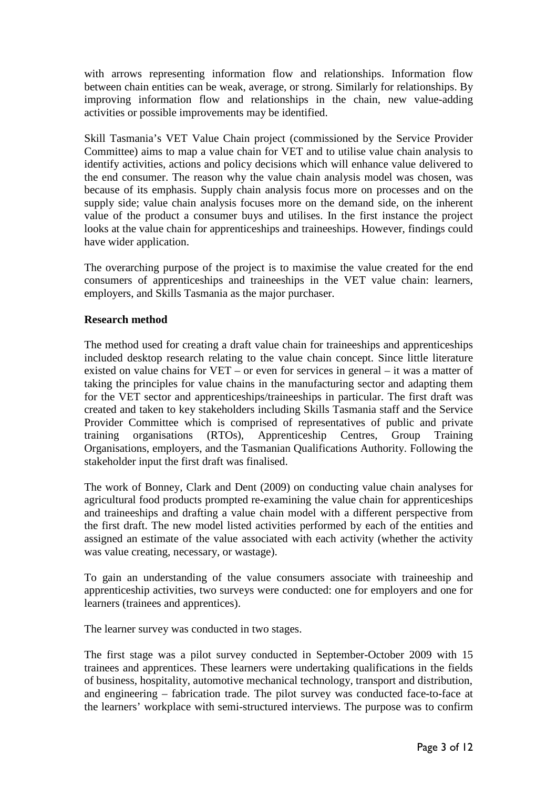with arrows representing information flow and relationships. Information flow between chain entities can be weak, average, or strong. Similarly for relationships. By improving information flow and relationships in the chain, new value-adding activities or possible improvements may be identified.

Skill Tasmania's VET Value Chain project (commissioned by the Service Provider Committee) aims to map a value chain for VET and to utilise value chain analysis to identify activities, actions and policy decisions which will enhance value delivered to the end consumer. The reason why the value chain analysis model was chosen, was because of its emphasis. Supply chain analysis focus more on processes and on the supply side; value chain analysis focuses more on the demand side, on the inherent value of the product a consumer buys and utilises. In the first instance the project looks at the value chain for apprenticeships and traineeships. However, findings could have wider application.

The overarching purpose of the project is to maximise the value created for the end consumers of apprenticeships and traineeships in the VET value chain: learners, employers, and Skills Tasmania as the major purchaser.

## **Research method**

The method used for creating a draft value chain for traineeships and apprenticeships included desktop research relating to the value chain concept. Since little literature existed on value chains for VET – or even for services in general – it was a matter of taking the principles for value chains in the manufacturing sector and adapting them for the VET sector and apprenticeships/traineeships in particular. The first draft was created and taken to key stakeholders including Skills Tasmania staff and the Service Provider Committee which is comprised of representatives of public and private training organisations (RTOs), Apprenticeship Centres, Group Training Organisations, employers, and the Tasmanian Qualifications Authority. Following the stakeholder input the first draft was finalised.

The work of Bonney, Clark and Dent (2009) on conducting value chain analyses for agricultural food products prompted re-examining the value chain for apprenticeships and traineeships and drafting a value chain model with a different perspective from the first draft. The new model listed activities performed by each of the entities and assigned an estimate of the value associated with each activity (whether the activity was value creating, necessary, or wastage).

To gain an understanding of the value consumers associate with traineeship and apprenticeship activities, two surveys were conducted: one for employers and one for learners (trainees and apprentices).

The learner survey was conducted in two stages.

The first stage was a pilot survey conducted in September-October 2009 with 15 trainees and apprentices. These learners were undertaking qualifications in the fields of business, hospitality, automotive mechanical technology, transport and distribution, and engineering – fabrication trade. The pilot survey was conducted face-to-face at the learners' workplace with semi-structured interviews. The purpose was to confirm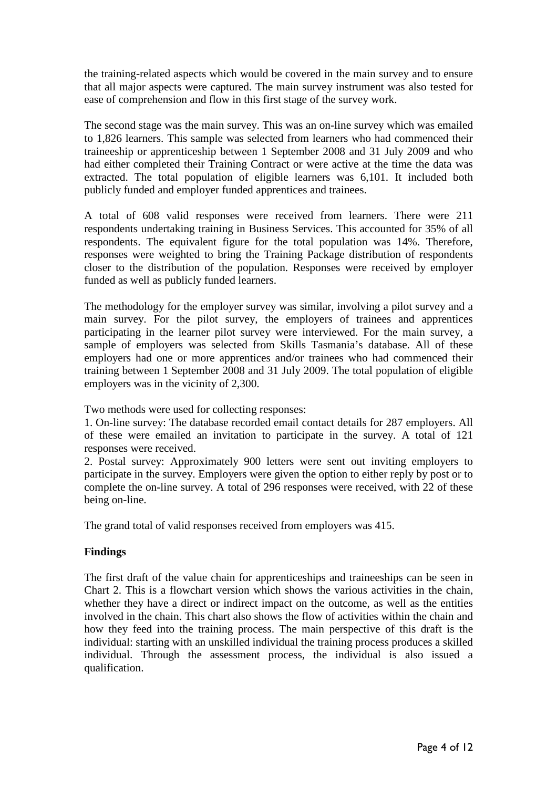the training-related aspects which would be covered in the main survey and to ensure that all major aspects were captured. The main survey instrument was also tested for ease of comprehension and flow in this first stage of the survey work.

The second stage was the main survey. This was an on-line survey which was emailed to 1,826 learners. This sample was selected from learners who had commenced their traineeship or apprenticeship between 1 September 2008 and 31 July 2009 and who had either completed their Training Contract or were active at the time the data was extracted. The total population of eligible learners was 6,101. It included both publicly funded and employer funded apprentices and trainees.

A total of 608 valid responses were received from learners. There were 211 respondents undertaking training in Business Services. This accounted for 35% of all respondents. The equivalent figure for the total population was 14%. Therefore, responses were weighted to bring the Training Package distribution of respondents closer to the distribution of the population. Responses were received by employer funded as well as publicly funded learners.

The methodology for the employer survey was similar, involving a pilot survey and a main survey. For the pilot survey, the employers of trainees and apprentices participating in the learner pilot survey were interviewed. For the main survey, a sample of employers was selected from Skills Tasmania's database. All of these employers had one or more apprentices and/or trainees who had commenced their training between 1 September 2008 and 31 July 2009. The total population of eligible employers was in the vicinity of 2,300.

Two methods were used for collecting responses:

1. On-line survey: The database recorded email contact details for 287 employers. All of these were emailed an invitation to participate in the survey. A total of 121 responses were received.

2. Postal survey: Approximately 900 letters were sent out inviting employers to participate in the survey. Employers were given the option to either reply by post or to complete the on-line survey. A total of 296 responses were received, with 22 of these being on-line.

The grand total of valid responses received from employers was 415.

## **Findings**

The first draft of the value chain for apprenticeships and traineeships can be seen in Chart 2. This is a flowchart version which shows the various activities in the chain, whether they have a direct or indirect impact on the outcome, as well as the entities involved in the chain. This chart also shows the flow of activities within the chain and how they feed into the training process. The main perspective of this draft is the individual: starting with an unskilled individual the training process produces a skilled individual. Through the assessment process, the individual is also issued a qualification.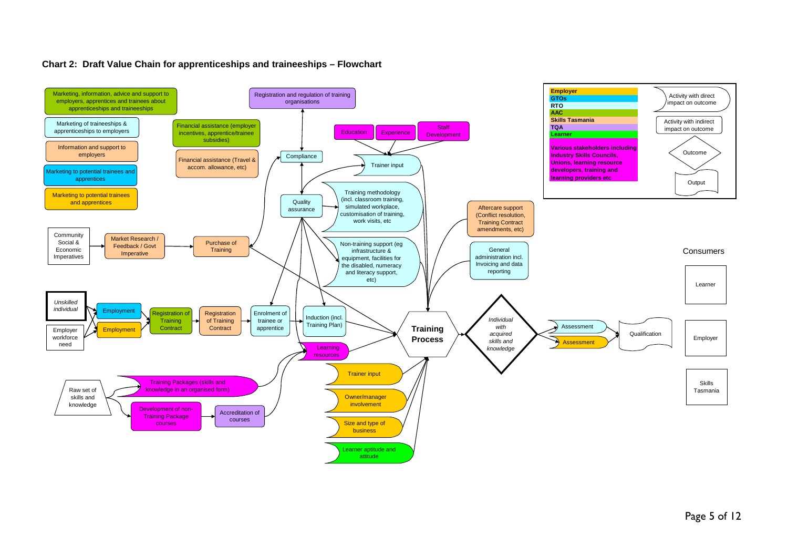

#### **Chart 2: Draft Value Chain for apprenticeships and traineeships – Flowchart**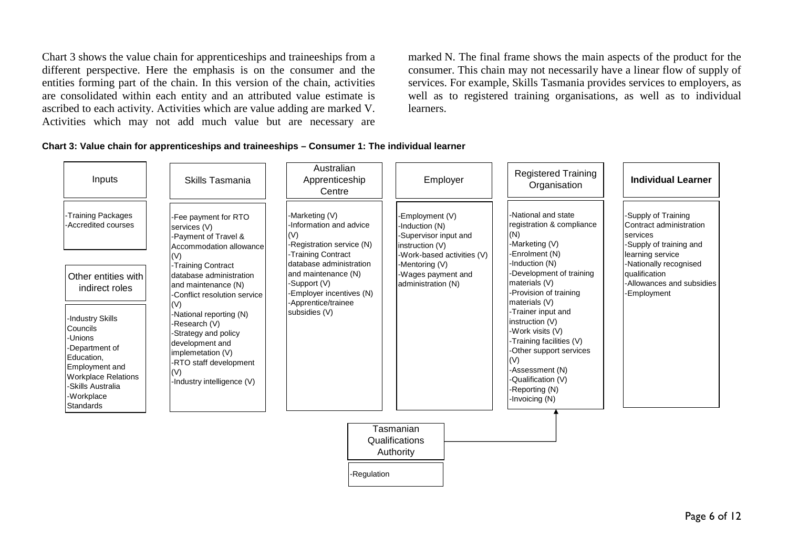Chart 3 shows the value chain for apprenticeships and traineeships from a different perspective. Here the emphasis is on the consumer and the entities forming part of the chain. In this version of the chain, activities are consolidated within each entity and an attributed value estimate is ascribed to each activity. Activities which are value adding are marked V. Activities which may not add much value but are necessary are

marked N. The final frame shows the main aspects of the product for the consumer. This chain may not necessarily have a linear flow of supply of services. For example, Skills Tasmania provides services to employers, as well as to registered training organisations, as well as to individual learners.

#### **Chart 3: Value chain for apprenticeships and traineeships – Consumer 1: The individual learner**

| Inputs                                                                                                                                                                                | Skills Tasmania                                                                                                                                                         | Australian<br>Apprenticeship<br>Centre                                                                           | Employer                                                                                                    | <b>Registered Training</b><br>Organisation                                                                                                                                                           | <b>Individual Learner</b>                                                                                                                                                                        |  |  |  |
|---------------------------------------------------------------------------------------------------------------------------------------------------------------------------------------|-------------------------------------------------------------------------------------------------------------------------------------------------------------------------|------------------------------------------------------------------------------------------------------------------|-------------------------------------------------------------------------------------------------------------|------------------------------------------------------------------------------------------------------------------------------------------------------------------------------------------------------|--------------------------------------------------------------------------------------------------------------------------------------------------------------------------------------------------|--|--|--|
| -Training Packages<br>-Accredited courses                                                                                                                                             | -Fee payment for RTO<br>services (V)<br>-Payment of Travel &<br>Accommodation allowance                                                                                 | -Marketing (V)<br>-Information and advice<br>(V)<br>-Registration service (N)<br>-Training Contract              | -Employment (V)<br>-Induction (N)<br>-Supervisor input and<br>instruction (V)<br>-Work-based activities (V) | -National and state<br>registration & compliance<br>(N)<br>-Marketing (V)<br>-Enrolment (N)                                                                                                          | -Supply of Training<br>Contract administration<br>services<br>-Supply of training and<br>learning service<br>-Nationally recognised<br>qualification<br>-Allowances and subsidies<br>-Employment |  |  |  |
| Other entities with<br>indirect roles                                                                                                                                                 | (V)<br>-Training Contract<br>database administration<br>and maintenance (N)<br>-Conflict resolution service<br>(V)                                                      | database administration<br>and maintenance (N)<br>-Support (V)<br>Employer incentives (N)<br>-Apprentice/trainee | -Mentoring (V)<br>-Wages payment and<br>administration (N)                                                  | -Induction (N)<br>-Development of training<br>materials (V)<br>-Provision of training<br>materials (V)                                                                                               |                                                                                                                                                                                                  |  |  |  |
| -Industry Skills<br>Councils<br>-Unions<br>-Department of<br>Education,<br><b>Employment and</b><br><b>Workplace Relations</b><br>-Skills Australia<br>-Workplace<br><b>Standards</b> | -National reporting (N)<br>-Research (V)<br>-Strategy and policy<br>development and<br>implemetation (V)<br>-RTO staff development<br>(V)<br>-Industry intelligence (V) | subsidies (V)                                                                                                    |                                                                                                             | -Trainer input and<br>instruction (V)<br>-Work visits (V)<br>-Training facilities (V)<br>-Other support services<br>(V)<br>-Assessment (N)<br>-Qualification (V)<br>-Reporting (N)<br>-Invoicing (N) |                                                                                                                                                                                                  |  |  |  |
| Tasmanian<br>Qualifications<br>Authority                                                                                                                                              |                                                                                                                                                                         |                                                                                                                  |                                                                                                             |                                                                                                                                                                                                      |                                                                                                                                                                                                  |  |  |  |
|                                                                                                                                                                                       |                                                                                                                                                                         | -Regulation                                                                                                      |                                                                                                             |                                                                                                                                                                                                      |                                                                                                                                                                                                  |  |  |  |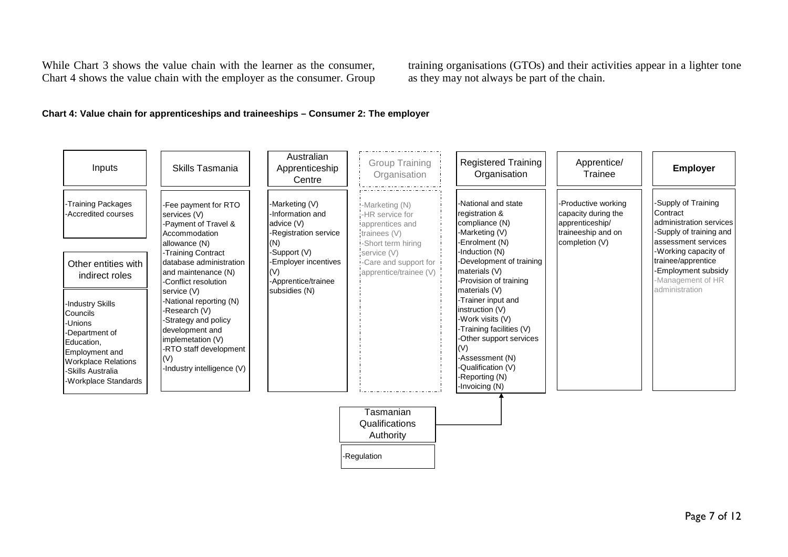While Chart 3 shows the value chain with the learner as the consumer, Chart 4 shows the value chain with the employer as the consumer. Group

training organisations (GTOs) and their activities appear in a lighter tone as they may not always be part of the chain.

### **Chart 4: Value chain for apprenticeships and traineeships – Consumer 2: The employer**

| Inputs                                                                                                                                                               | Skills Tasmania                                                                                                                                                         | Australian<br>Apprenticeship<br>Centre                                              | <b>Group Training</b><br>Organisation                                                       | <b>Registered Training</b><br>Organisation                                                                                                                                                                                | Apprentice/<br>Trainee                                                                                | <b>Employer</b>                                                                                             |
|----------------------------------------------------------------------------------------------------------------------------------------------------------------------|-------------------------------------------------------------------------------------------------------------------------------------------------------------------------|-------------------------------------------------------------------------------------|---------------------------------------------------------------------------------------------|---------------------------------------------------------------------------------------------------------------------------------------------------------------------------------------------------------------------------|-------------------------------------------------------------------------------------------------------|-------------------------------------------------------------------------------------------------------------|
| -Training Packages<br>-Accredited courses                                                                                                                            | -Fee payment for RTO<br>services (V)<br>-Payment of Travel &<br>Accommodation<br>allowance (N)                                                                          | -Marketing (V)<br>-Information and<br>advice (V)<br>-Registration service<br>(N)    | :-Marketing (N)<br>-HR service for<br>apprentices and<br>trainees (V)<br>-Short term hiring | l-National and state<br>registration &<br>compliance (N)<br>-Marketing (V)<br>-Enrolment (N)                                                                                                                              | -Productive working<br>capacity during the<br>apprenticeship/<br>traineeship and on<br>completion (V) | Supply of Training<br>Contract<br>administration services<br>-Supply of training and<br>assessment services |
| Other entities with<br>indirect roles                                                                                                                                | -Training Contract<br>database administration<br>and maintenance (N)<br>-Conflict resolution<br>service (V)                                                             | -Support (V)<br>-Employer incentives<br>(V)<br>-Apprentice/trainee<br>subsidies (N) | service (V)<br>.Care and support for<br>apprentice/trainee (V)                              | -Induction (N)<br>-Development of training<br>materials (V)<br>-Provision of training<br>materials (V)                                                                                                                    |                                                                                                       | -Working capacity of<br>trainee/apprentice<br>-Employment subsidy<br>-Management of HR<br>administration    |
| -Industry Skills<br>Councils<br>-Unions<br>-Department of<br>Education,<br>Employment and<br><b>Workplace Relations</b><br>-Skills Australia<br>-Workplace Standards | -National reporting (N)<br>-Research (V)<br>-Strategy and policy<br>development and<br>implemetation (V)<br>-RTO staff development<br>(V)<br>-Industry intelligence (V) |                                                                                     |                                                                                             | -Trainer input and<br>instruction (V)<br>-Work visits (V)<br>-Training facilities (V)<br>-Other support services<br>$\mathsf{I}(\mathsf{V})$<br>-Assessment (N)<br>-Qualification (V)<br>-Reporting (N)<br>-Invoicing (N) |                                                                                                       |                                                                                                             |
|                                                                                                                                                                      |                                                                                                                                                                         |                                                                                     | Tasmanian<br>Qualifications<br>Authority                                                    |                                                                                                                                                                                                                           |                                                                                                       |                                                                                                             |
|                                                                                                                                                                      |                                                                                                                                                                         |                                                                                     | -Regulation                                                                                 |                                                                                                                                                                                                                           |                                                                                                       |                                                                                                             |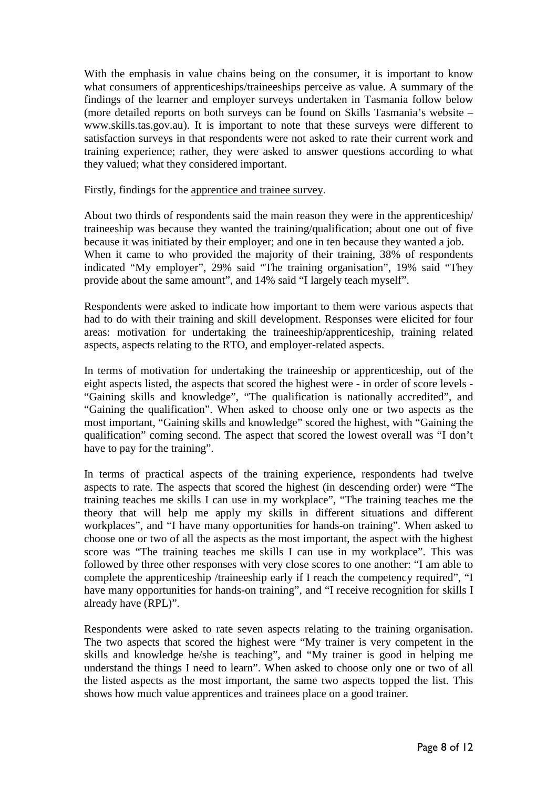With the emphasis in value chains being on the consumer, it is important to know what consumers of apprenticeships/traineeships perceive as value. A summary of the findings of the learner and employer surveys undertaken in Tasmania follow below (more detailed reports on both surveys can be found on Skills Tasmania's website – www.skills.tas.gov.au). It is important to note that these surveys were different to satisfaction surveys in that respondents were not asked to rate their current work and training experience; rather, they were asked to answer questions according to what they valued; what they considered important.

Firstly, findings for the apprentice and trainee survey.

About two thirds of respondents said the main reason they were in the apprenticeship/ traineeship was because they wanted the training/qualification; about one out of five because it was initiated by their employer; and one in ten because they wanted a job. When it came to who provided the majority of their training, 38% of respondents indicated "My employer", 29% said "The training organisation", 19% said "They provide about the same amount", and 14% said "I largely teach myself".

Respondents were asked to indicate how important to them were various aspects that had to do with their training and skill development. Responses were elicited for four areas: motivation for undertaking the traineeship/apprenticeship, training related aspects, aspects relating to the RTO, and employer-related aspects.

In terms of motivation for undertaking the traineeship or apprenticeship, out of the eight aspects listed, the aspects that scored the highest were - in order of score levels - "Gaining skills and knowledge", "The qualification is nationally accredited", and "Gaining the qualification". When asked to choose only one or two aspects as the most important, "Gaining skills and knowledge" scored the highest, with "Gaining the qualification" coming second. The aspect that scored the lowest overall was "I don't have to pay for the training".

In terms of practical aspects of the training experience, respondents had twelve aspects to rate. The aspects that scored the highest (in descending order) were "The training teaches me skills I can use in my workplace", "The training teaches me the theory that will help me apply my skills in different situations and different workplaces", and "I have many opportunities for hands-on training". When asked to choose one or two of all the aspects as the most important, the aspect with the highest score was "The training teaches me skills I can use in my workplace". This was followed by three other responses with very close scores to one another: "I am able to complete the apprenticeship /traineeship early if I reach the competency required", "I have many opportunities for hands-on training", and "I receive recognition for skills I already have (RPL)".

Respondents were asked to rate seven aspects relating to the training organisation. The two aspects that scored the highest were "My trainer is very competent in the skills and knowledge he/she is teaching", and "My trainer is good in helping me understand the things I need to learn". When asked to choose only one or two of all the listed aspects as the most important, the same two aspects topped the list. This shows how much value apprentices and trainees place on a good trainer.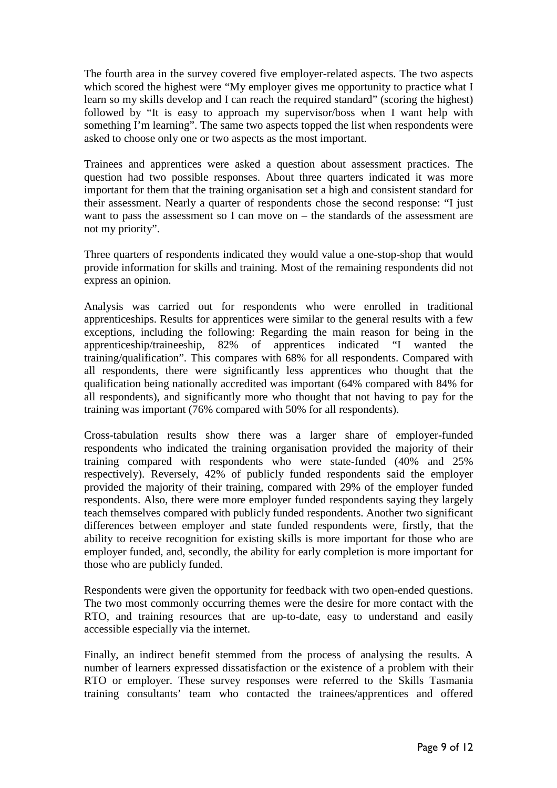The fourth area in the survey covered five employer-related aspects. The two aspects which scored the highest were "My employer gives me opportunity to practice what I learn so my skills develop and I can reach the required standard" (scoring the highest) followed by "It is easy to approach my supervisor/boss when I want help with something I'm learning". The same two aspects topped the list when respondents were asked to choose only one or two aspects as the most important.

Trainees and apprentices were asked a question about assessment practices. The question had two possible responses. About three quarters indicated it was more important for them that the training organisation set a high and consistent standard for their assessment. Nearly a quarter of respondents chose the second response: "I just want to pass the assessment so I can move on – the standards of the assessment are not my priority".

Three quarters of respondents indicated they would value a one-stop-shop that would provide information for skills and training. Most of the remaining respondents did not express an opinion.

Analysis was carried out for respondents who were enrolled in traditional apprenticeships. Results for apprentices were similar to the general results with a few exceptions, including the following: Regarding the main reason for being in the apprenticeship/traineeship, 82% of apprentices indicated "I wanted the training/qualification". This compares with 68% for all respondents. Compared with all respondents, there were significantly less apprentices who thought that the qualification being nationally accredited was important (64% compared with 84% for all respondents), and significantly more who thought that not having to pay for the training was important (76% compared with 50% for all respondents).

Cross-tabulation results show there was a larger share of employer-funded respondents who indicated the training organisation provided the majority of their training compared with respondents who were state-funded (40% and 25% respectively). Reversely, 42% of publicly funded respondents said the employer provided the majority of their training, compared with 29% of the employer funded respondents. Also, there were more employer funded respondents saying they largely teach themselves compared with publicly funded respondents. Another two significant differences between employer and state funded respondents were, firstly, that the ability to receive recognition for existing skills is more important for those who are employer funded, and, secondly, the ability for early completion is more important for those who are publicly funded.

Respondents were given the opportunity for feedback with two open-ended questions. The two most commonly occurring themes were the desire for more contact with the RTO, and training resources that are up-to-date, easy to understand and easily accessible especially via the internet.

Finally, an indirect benefit stemmed from the process of analysing the results. A number of learners expressed dissatisfaction or the existence of a problem with their RTO or employer. These survey responses were referred to the Skills Tasmania training consultants' team who contacted the trainees/apprentices and offered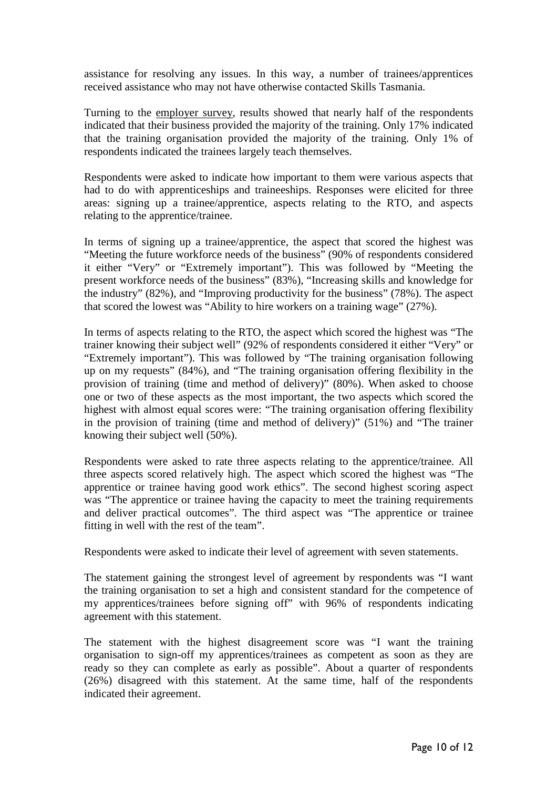assistance for resolving any issues. In this way, a number of trainees/apprentices received assistance who may not have otherwise contacted Skills Tasmania.

Turning to the employer survey, results showed that nearly half of the respondents indicated that their business provided the majority of the training. Only 17% indicated that the training organisation provided the majority of the training. Only 1% of respondents indicated the trainees largely teach themselves.

Respondents were asked to indicate how important to them were various aspects that had to do with apprenticeships and traineeships. Responses were elicited for three areas: signing up a trainee/apprentice, aspects relating to the RTO, and aspects relating to the apprentice/trainee.

In terms of signing up a trainee/apprentice, the aspect that scored the highest was "Meeting the future workforce needs of the business" (90% of respondents considered it either "Very" or "Extremely important"). This was followed by "Meeting the present workforce needs of the business" (83%), "Increasing skills and knowledge for the industry" (82%), and "Improving productivity for the business" (78%). The aspect that scored the lowest was "Ability to hire workers on a training wage" (27%).

In terms of aspects relating to the RTO, the aspect which scored the highest was "The trainer knowing their subject well" (92% of respondents considered it either "Very" or "Extremely important"). This was followed by "The training organisation following up on my requests" (84%), and "The training organisation offering flexibility in the provision of training (time and method of delivery)" (80%). When asked to choose one or two of these aspects as the most important, the two aspects which scored the highest with almost equal scores were: "The training organisation offering flexibility in the provision of training (time and method of delivery)" (51%) and "The trainer knowing their subject well (50%).

Respondents were asked to rate three aspects relating to the apprentice/trainee. All three aspects scored relatively high. The aspect which scored the highest was "The apprentice or trainee having good work ethics". The second highest scoring aspect was "The apprentice or trainee having the capacity to meet the training requirements and deliver practical outcomes". The third aspect was "The apprentice or trainee fitting in well with the rest of the team".

Respondents were asked to indicate their level of agreement with seven statements.

The statement gaining the strongest level of agreement by respondents was "I want the training organisation to set a high and consistent standard for the competence of my apprentices/trainees before signing off" with 96% of respondents indicating agreement with this statement.

The statement with the highest disagreement score was "I want the training organisation to sign-off my apprentices/trainees as competent as soon as they are ready so they can complete as early as possible". About a quarter of respondents (26%) disagreed with this statement. At the same time, half of the respondents indicated their agreement.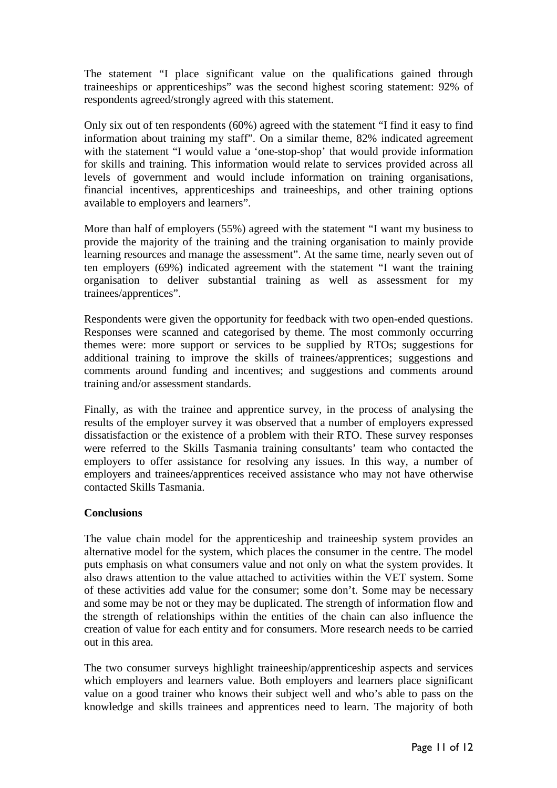The statement "I place significant value on the qualifications gained through traineeships or apprenticeships" was the second highest scoring statement: 92% of respondents agreed/strongly agreed with this statement.

Only six out of ten respondents (60%) agreed with the statement "I find it easy to find information about training my staff". On a similar theme, 82% indicated agreement with the statement "I would value a 'one-stop-shop' that would provide information for skills and training. This information would relate to services provided across all levels of government and would include information on training organisations, financial incentives, apprenticeships and traineeships, and other training options available to employers and learners".

More than half of employers (55%) agreed with the statement "I want my business to provide the majority of the training and the training organisation to mainly provide learning resources and manage the assessment". At the same time, nearly seven out of ten employers (69%) indicated agreement with the statement "I want the training organisation to deliver substantial training as well as assessment for my trainees/apprentices".

Respondents were given the opportunity for feedback with two open-ended questions. Responses were scanned and categorised by theme. The most commonly occurring themes were: more support or services to be supplied by RTOs; suggestions for additional training to improve the skills of trainees/apprentices; suggestions and comments around funding and incentives; and suggestions and comments around training and/or assessment standards.

Finally, as with the trainee and apprentice survey, in the process of analysing the results of the employer survey it was observed that a number of employers expressed dissatisfaction or the existence of a problem with their RTO. These survey responses were referred to the Skills Tasmania training consultants' team who contacted the employers to offer assistance for resolving any issues. In this way, a number of employers and trainees/apprentices received assistance who may not have otherwise contacted Skills Tasmania.

## **Conclusions**

The value chain model for the apprenticeship and traineeship system provides an alternative model for the system, which places the consumer in the centre. The model puts emphasis on what consumers value and not only on what the system provides. It also draws attention to the value attached to activities within the VET system. Some of these activities add value for the consumer; some don't. Some may be necessary and some may be not or they may be duplicated. The strength of information flow and the strength of relationships within the entities of the chain can also influence the creation of value for each entity and for consumers. More research needs to be carried out in this area.

The two consumer surveys highlight traineeship/apprenticeship aspects and services which employers and learners value. Both employers and learners place significant value on a good trainer who knows their subject well and who's able to pass on the knowledge and skills trainees and apprentices need to learn. The majority of both